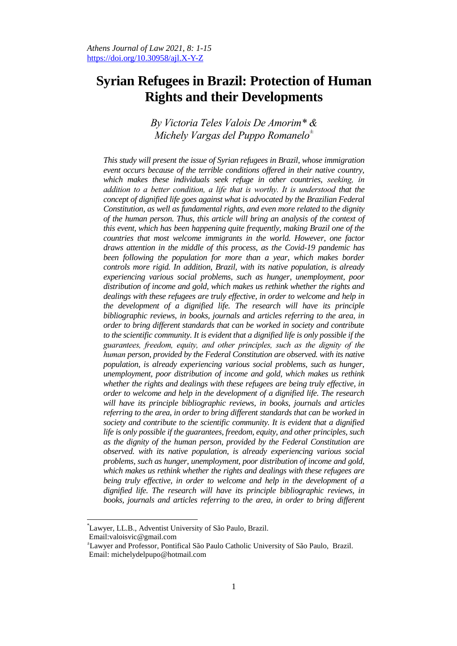# **Syrian Refugees in Brazil: Protection of Human Rights and their Developments**

# *By Victoria Teles Valois De Amorim\* & Michely Vargas del Puppo Romanelo<sup>±</sup>*

*This study will present the issue of Syrian refugees in Brazil, whose immigration event occurs because of the terrible conditions offered in their native country, which makes these individuals seek refuge in other countries, seeking, in addition to a better condition, a life that is worthy. It is understood that the concept of dignified life goes against what is advocated by the Brazilian Federal Constitution, as well as fundamental rights, and even more related to the dignity of the human person. Thus, this article will bring an analysis of the context of this event, which has been happening quite frequently, making Brazil one of the countries that most welcome immigrants in the world. However, one factor draws attention in the middle of this process, as the Covid-19 pandemic has been following the population for more than a year, which makes border controls more rigid. In addition, Brazil, with its native population, is already experiencing various social problems, such as hunger, unemployment, poor distribution of income and gold, which makes us rethink whether the rights and dealings with these refugees are truly effective, in order to welcome and help in the development of a dignified life. The research will have its principle bibliographic reviews, in books, journals and articles referring to the area, in order to bring different standards that can be worked in society and contribute to the scientific community. It is evident that a dignified life is only possible if the guarantees, freedom, equity, and other principles, such as the dignity of the human person, provided by the Federal Constitution are observed. with its native population, is already experiencing various social problems, such as hunger, unemployment, poor distribution of income and gold, which makes us rethink whether the rights and dealings with these refugees are being truly effective, in order to welcome and help in the development of a dignified life. The research will have its principle bibliographic reviews, in books, journals and articles referring to the area, in order to bring different standards that can be worked in society and contribute to the scientific community. It is evident that a dignified life is only possible if the guarantees, freedom, equity, and other principles, such as the dignity of the human person, provided by the Federal Constitution are observed. with its native population, is already experiencing various social problems, such as hunger, unemployment, poor distribution of income and gold, which makes us rethink whether the rights and dealings with these refugees are being truly effective, in order to welcome and help in the development of a dignified life. The research will have its principle bibliographic reviews, in*  books, journals and articles referring to the area, in order to bring different

<sup>\*</sup>Lawyer, LL.B., Adventist University of São Paulo, Brazil.

Email:valoisvic@gmail.com

<sup>±</sup>Lawyer and Professor, Pontifical São Paulo Catholic University of São Paulo, Brazil. Email: michelydelpupo@hotmail.com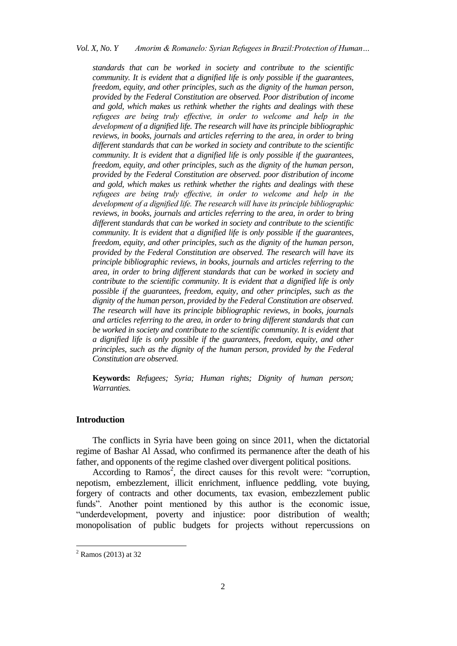# *Vol. X, No. Y Amorim & Romanelo: Syrian Refugees in Brazil:Protection of Human…*

*standards that can be worked in society and contribute to the scientific community. It is evident that a dignified life is only possible if the guarantees, freedom, equity, and other principles, such as the dignity of the human person, provided by the Federal Constitution are observed. Poor distribution of income and gold, which makes us rethink whether the rights and dealings with these refugees are being truly effective, in order to welcome and help in the development of a dignified life. The research will have its principle bibliographic reviews, in books, journals and articles referring to the area, in order to bring different standards that can be worked in society and contribute to the scientific community. It is evident that a dignified life is only possible if the guarantees, freedom, equity, and other principles, such as the dignity of the human person, provided by the Federal Constitution are observed. poor distribution of income and gold, which makes us rethink whether the rights and dealings with these refugees are being truly effective, in order to welcome and help in the development of a dignified life. The research will have its principle bibliographic reviews, in books, journals and articles referring to the area, in order to bring different standards that can be worked in society and contribute to the scientific community. It is evident that a dignified life is only possible if the guarantees, freedom, equity, and other principles, such as the dignity of the human person, provided by the Federal Constitution are observed. The research will have its principle bibliographic reviews, in books, journals and articles referring to the area, in order to bring different standards that can be worked in society and contribute to the scientific community. It is evident that a dignified life is only possible if the guarantees, freedom, equity, and other principles, such as the dignity of the human person, provided by the Federal Constitution are observed. The research will have its principle bibliographic reviews, in books, journals and articles referring to the area, in order to bring different standards that can be worked in society and contribute to the scientific community. It is evident that a dignified life is only possible if the guarantees, freedom, equity, and other principles, such as the dignity of the human person, provided by the Federal Constitution are observed.*

**Keywords:** *Refugees; Syria; Human rights; Dignity of human person; Warranties.*

#### **Introduction**

The conflicts in Syria have been going on since 2011, when the dictatorial regime of Bashar Al Assad, who confirmed its permanence after the death of his father, and opponents of the regime clashed over divergent political positions.

According to Ramos<sup>2</sup>, the direct causes for this revolt were: "corruption, nepotism, embezzlement, illicit enrichment, influence peddling, vote buying, forgery of contracts and other documents, tax evasion, embezzlement public funds". Another point mentioned by this author is the economic issue, "underdevelopment, poverty and injustice: poor distribution of wealth; monopolisation of public budgets for projects without repercussions on

1

<sup>2</sup> Ramos (2013) at 32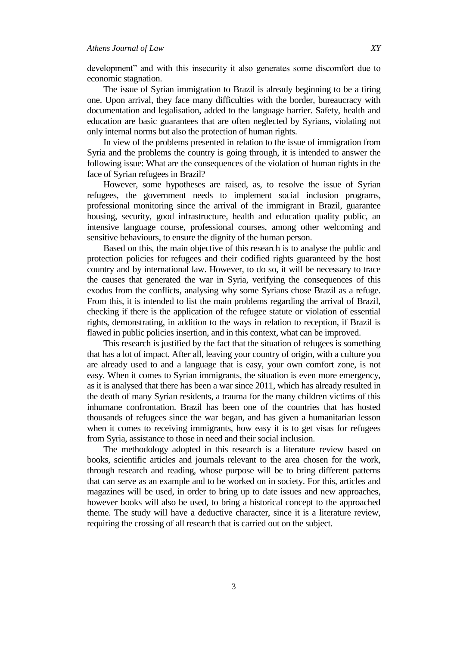development" and with this insecurity it also generates some discomfort due to economic stagnation.

The issue of Syrian immigration to Brazil is already beginning to be a tiring one. Upon arrival, they face many difficulties with the border, bureaucracy with documentation and legalisation, added to the language barrier. Safety, health and education are basic guarantees that are often neglected by Syrians, violating not only internal norms but also the protection of human rights.

In view of the problems presented in relation to the issue of immigration from Syria and the problems the country is going through, it is intended to answer the following issue: What are the consequences of the violation of human rights in the face of Syrian refugees in Brazil?

However, some hypotheses are raised, as, to resolve the issue of Syrian refugees, the government needs to implement social inclusion programs, professional monitoring since the arrival of the immigrant in Brazil, guarantee housing, security, good infrastructure, health and education quality public, an intensive language course, professional courses, among other welcoming and sensitive behaviours, to ensure the dignity of the human person.

Based on this, the main objective of this research is to analyse the public and protection policies for refugees and their codified rights guaranteed by the host country and by international law. However, to do so, it will be necessary to trace the causes that generated the war in Syria, verifying the consequences of this exodus from the conflicts, analysing why some Syrians chose Brazil as a refuge. From this, it is intended to list the main problems regarding the arrival of Brazil, checking if there is the application of the refugee statute or violation of essential rights, demonstrating, in addition to the ways in relation to reception, if Brazil is flawed in public policies insertion, and in this context, what can be improved.

This research is justified by the fact that the situation of refugees is something that has a lot of impact. After all, leaving your country of origin, with a culture you are already used to and a language that is easy, your own comfort zone, is not easy. When it comes to Syrian immigrants, the situation is even more emergency, as it is analysed that there has been a war since 2011, which has already resulted in the death of many Syrian residents, a trauma for the many children victims of this inhumane confrontation. Brazil has been one of the countries that has hosted thousands of refugees since the war began, and has given a humanitarian lesson when it comes to receiving immigrants, how easy it is to get visas for refugees from Syria, assistance to those in need and their social inclusion.

The methodology adopted in this research is a literature review based on books, scientific articles and journals relevant to the area chosen for the work, through research and reading, whose purpose will be to bring different patterns that can serve as an example and to be worked on in society. For this, articles and magazines will be used, in order to bring up to date issues and new approaches, however books will also be used, to bring a historical concept to the approached theme. The study will have a deductive character, since it is a literature review, requiring the crossing of all research that is carried out on the subject.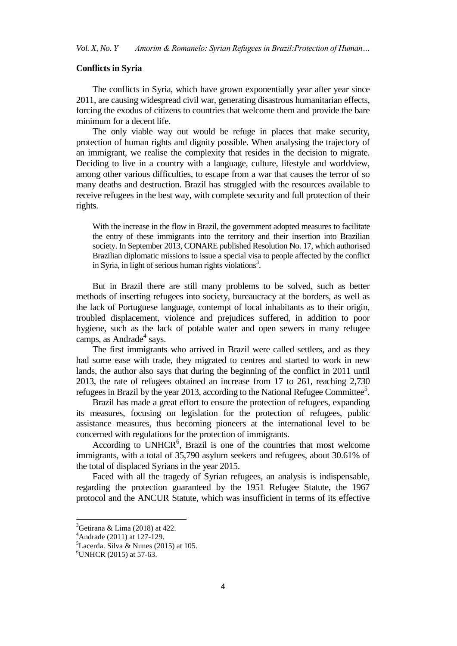### **Conflicts in Syria**

The conflicts in Syria, which have grown exponentially year after year since 2011, are causing widespread civil war, generating disastrous humanitarian effects, forcing the exodus of citizens to countries that welcome them and provide the bare minimum for a decent life.

The only viable way out would be refuge in places that make security, protection of human rights and dignity possible. When analysing the trajectory of an immigrant, we realise the complexity that resides in the decision to migrate. Deciding to live in a country with a language, culture, lifestyle and worldview, among other various difficulties, to escape from a war that causes the terror of so many deaths and destruction. Brazil has struggled with the resources available to receive refugees in the best way, with complete security and full protection of their rights.

With the increase in the flow in Brazil, the government adopted measures to facilitate the entry of these immigrants into the territory and their insertion into Brazilian society. In September 2013, CONARE published Resolution No. 17, which authorised Brazilian diplomatic missions to issue a special visa to people affected by the conflict in Syria, in light of serious human rights violations<sup>3</sup>.

But in Brazil there are still many problems to be solved, such as better methods of inserting refugees into society, bureaucracy at the borders, as well as the lack of Portuguese language, contempt of local inhabitants as to their origin, troubled displacement, violence and prejudices suffered, in addition to poor hygiene, such as the lack of potable water and open sewers in many refugee camps, as Andrade<sup>4</sup> says.

The first immigrants who arrived in Brazil were called settlers, and as they had some ease with trade, they migrated to centres and started to work in new lands, the author also says that during the beginning of the conflict in 2011 until 2013, the rate of refugees obtained an increase from 17 to 261, reaching 2,730 refugees in Brazil by the year 2013, according to the National Refugee Committee<sup>5</sup>.

Brazil has made a great effort to ensure the protection of refugees, expanding its measures, focusing on legislation for the protection of refugees, public assistance measures, thus becoming pioneers at the international level to be concerned with regulations for the protection of immigrants.

According to UNHCR<sup>6</sup>, Brazil is one of the countries that most welcome immigrants, with a total of 35,790 asylum seekers and refugees, about 30.61% of the total of displaced Syrians in the year 2015.

Faced with all the tragedy of Syrian refugees, an analysis is indispensable, regarding the protection guaranteed by the 1951 Refugee Statute, the 1967 protocol and the ANCUR Statute, which was insufficient in terms of its effective

 $\ddot{\phantom{a}}$ 

 ${}^{3}$ Getirana & Lima (2018) at 422.

 $4$ Andrade (2011) at 127-129.

 ${}^{5}$ Lacerda. Silva & Nunes (2015) at 105.

 $6$ UNHCR (2015) at 57-63.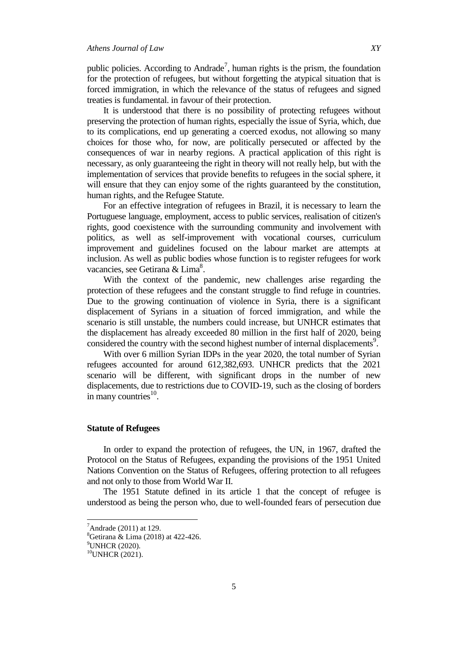public policies. According to Andrade<sup>7</sup>, human rights is the prism, the foundation for the protection of refugees, but without forgetting the atypical situation that is forced immigration, in which the relevance of the status of refugees and signed treaties is fundamental. in favour of their protection.

It is understood that there is no possibility of protecting refugees without preserving the protection of human rights, especially the issue of Syria, which, due to its complications, end up generating a coerced exodus, not allowing so many choices for those who, for now, are politically persecuted or affected by the consequences of war in nearby regions. A practical application of this right is necessary, as only guaranteeing the right in theory will not really help, but with the implementation of services that provide benefits to refugees in the social sphere, it will ensure that they can enjoy some of the rights guaranteed by the constitution, human rights, and the Refugee Statute.

For an effective integration of refugees in Brazil, it is necessary to learn the Portuguese language, employment, access to public services, realisation of citizen's rights, good coexistence with the surrounding community and involvement with politics, as well as self-improvement with vocational courses, curriculum improvement and guidelines focused on the labour market are attempts at inclusion. As well as public bodies whose function is to register refugees for work vacancies, see Getirana & Lima<sup>8</sup>.

With the context of the pandemic, new challenges arise regarding the protection of these refugees and the constant struggle to find refuge in countries. Due to the growing continuation of violence in Syria, there is a significant displacement of Syrians in a situation of forced immigration, and while the scenario is still unstable, the numbers could increase, but UNHCR estimates that the displacement has already exceeded 80 million in the first half of 2020, being considered the country with the second highest number of internal displacements<sup>9</sup>.

With over 6 million Syrian IDPs in the year 2020, the total number of Syrian refugees accounted for around 612,382,693. UNHCR predicts that the 2021 scenario will be different, with significant drops in the number of new displacements, due to restrictions due to COVID-19, such as the closing of borders in many countries $10$ .

#### **Statute of Refugees**

In order to expand the protection of refugees, the UN, in 1967, drafted the Protocol on the Status of Refugees, expanding the provisions of the 1951 United Nations Convention on the Status of Refugees, offering protection to all refugees and not only to those from World War II.

The 1951 Statute defined in its article 1 that the concept of refugee is understood as being the person who, due to well-founded fears of persecution due

 $<sup>7</sup>$ Andrade (2011) at 129.</sup>

<sup>&</sup>lt;sup>8</sup>Getirana & Lima (2018) at 422-426.

<sup>9</sup>UNHCR (2020).

 $10$ UNHCR (2021).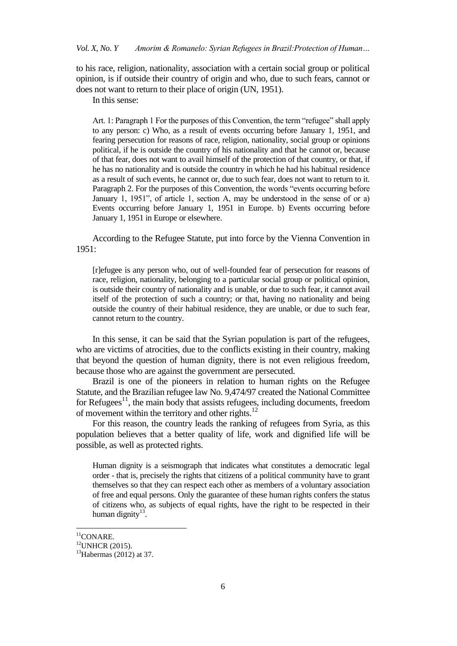to his race, religion, nationality, association with a certain social group or political opinion, is if outside their country of origin and who, due to such fears, cannot or does not want to return to their place of origin (UN, 1951).

In this sense:

Art. 1: Paragraph 1 For the purposes of this Convention, the term "refugee" shall apply to any person: c) Who, as a result of events occurring before January 1, 1951, and fearing persecution for reasons of race, religion, nationality, social group or opinions political, if he is outside the country of his nationality and that he cannot or, because of that fear, does not want to avail himself of the protection of that country, or that, if he has no nationality and is outside the country in which he had his habitual residence as a result of such events, he cannot or, due to such fear, does not want to return to it. Paragraph 2. For the purposes of this Convention, the words "events occurring before January 1, 1951", of article 1, section A, may be understood in the sense of or a) Events occurring before January 1, 1951 in Europe. b) Events occurring before January 1, 1951 in Europe or elsewhere.

According to the Refugee Statute, put into force by the Vienna Convention in 1951:

[r]efugee is any person who, out of well-founded fear of persecution for reasons of race, religion, nationality, belonging to a particular social group or political opinion, is outside their country of nationality and is unable, or due to such fear, it cannot avail itself of the protection of such a country; or that, having no nationality and being outside the country of their habitual residence, they are unable, or due to such fear, cannot return to the country.

In this sense, it can be said that the Syrian population is part of the refugees, who are victims of atrocities, due to the conflicts existing in their country, making that beyond the question of human dignity, there is not even religious freedom, because those who are against the government are persecuted.

Brazil is one of the pioneers in relation to human rights on the Refugee Statute, and the Brazilian refugee law No. 9,474/97 created the National Committee for Refugees $^{11}$ , the main body that assists refugees, including documents, freedom of movement within the territory and other rights. $^{12}$ 

For this reason, the country leads the ranking of refugees from Syria, as this population believes that a better quality of life, work and dignified life will be possible, as well as protected rights.

Human dignity is a seismograph that indicates what constitutes a democratic legal order - that is, precisely the rights that citizens of a political community have to grant themselves so that they can respect each other as members of a voluntary association of free and equal persons. Only the guarantee of these human rights confers the status of citizens who, as subjects of equal rights, have the right to be respected in their human dignity<sup>13</sup>.

 $\ddot{\phantom{a}}$ 

 $11$ CONARE.

<sup>12</sup>UNHCR (2015).

 $13$ Habermas (2012) at 37.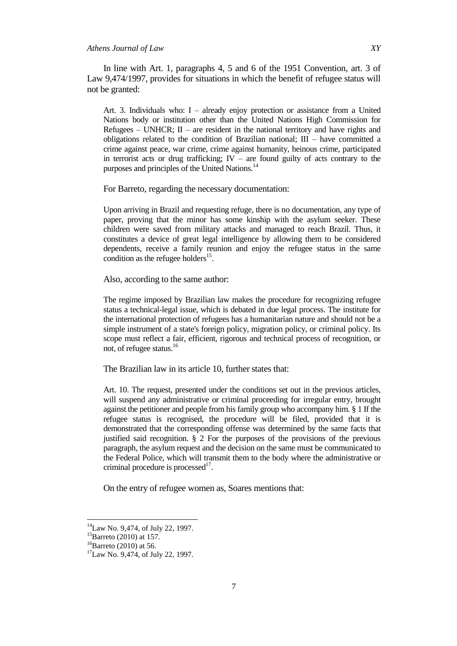In line with Art. 1, paragraphs 4, 5 and 6 of the 1951 Convention, art. 3 of Law 9,474/1997, provides for situations in which the benefit of refugee status will not be granted:

Art. 3. Individuals who: I – already enjoy protection or assistance from a United Nations body or institution other than the United Nations High Commission for Refugees – UNHCR;  $II$  – are resident in the national territory and have rights and obligations related to the condition of Brazilian national;  $III$  – have committed a crime against peace, war crime, crime against humanity, heinous crime, participated in terrorist acts or drug trafficking;  $IV -$  are found guilty of acts contrary to the purposes and principles of the United Nations.<sup>14</sup>

For Barreto, regarding the necessary documentation:

Upon arriving in Brazil and requesting refuge, there is no documentation, any type of paper, proving that the minor has some kinship with the asylum seeker. These children were saved from military attacks and managed to reach Brazil. Thus, it constitutes a device of great legal intelligence by allowing them to be considered dependents, receive a family reunion and enjoy the refugee status in the same condition as the refugee holders<sup>15</sup>.

Also, according to the same author:

The regime imposed by Brazilian law makes the procedure for recognizing refugee status a technical-legal issue, which is debated in due legal process. The institute for the international protection of refugees has a humanitarian nature and should not be a simple instrument of a state's foreign policy, migration policy, or criminal policy. Its scope must reflect a fair, efficient, rigorous and technical process of recognition, or not, of refugee status.<sup>16</sup>

The Brazilian law in its article 10, further states that:

Art. 10. The request, presented under the conditions set out in the previous articles, will suspend any administrative or criminal proceeding for irregular entry, brought against the petitioner and people from his family group who accompany him. § 1 If the refugee status is recognised, the procedure will be filed, provided that it is demonstrated that the corresponding offense was determined by the same facts that justified said recognition. § 2 For the purposes of the provisions of the previous paragraph, the asylum request and the decision on the same must be communicated to the Federal Police, which will transmit them to the body where the administrative or criminal procedure is processed $1^7$ .

On the entry of refugee women as, Soares mentions that:

<sup>&</sup>lt;sup>14</sup>Law No. 9,474, of July 22, 1997.

 ${}^{15}$ Barreto (2010) at 157.

 ${}^{16}$ Barreto (2010) at 56.

<sup>&</sup>lt;sup>17</sup>Law No. 9,474, of July 22, 1997.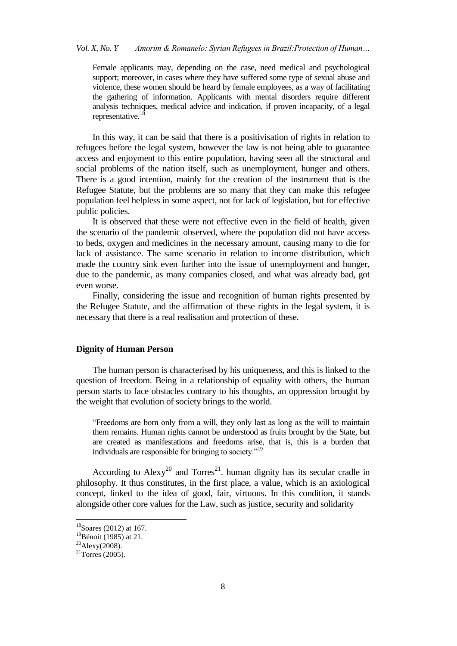# *Vol. X, No. Y Amorim & Romanelo: Syrian Refugees in Brazil:Protection of Human…*

Female applicants may, depending on the case, need medical and psychological support; moreover, in cases where they have suffered some type of sexual abuse and violence, these women should be heard by female employees, as a way of facilitating the gathering of information. Applicants with mental disorders require different analysis techniques, medical advice and indication, if proven incapacity, of a legal representative.<sup>18</sup>

In this way, it can be said that there is a positivisation of rights in relation to refugees before the legal system, however the law is not being able to guarantee access and enjoyment to this entire population, having seen all the structural and social problems of the nation itself, such as unemployment, hunger and others. There is a good intention, mainly for the creation of the instrument that is the Refugee Statute, but the problems are so many that they can make this refugee population feel helpless in some aspect, not for lack of legislation, but for effective public policies.

It is observed that these were not effective even in the field of health, given the scenario of the pandemic observed, where the population did not have access to beds, oxygen and medicines in the necessary amount, causing many to die for lack of assistance. The same scenario in relation to income distribution, which made the country sink even further into the issue of unemployment and hunger, due to the pandemic, as many companies closed, and what was already bad, got even worse.

Finally, considering the issue and recognition of human rights presented by the Refugee Statute, and the affirmation of these rights in the legal system, it is necessary that there is a real realisation and protection of these.

## **Dignity of Human Person**

The human person is characterised by his uniqueness, and this is linked to the question of freedom. Being in a relationship of equality with others, the human person starts to face obstacles contrary to his thoughts, an oppression brought by the weight that evolution of society brings to the world.

"Freedoms are born only from a will, they only last as long as the will to maintain them remains. Human rights cannot be understood as fruits brought by the State, but are created as manifestations and freedoms arise, that is, this is a burden that individuals are responsible for bringing to society."<sup>19</sup>

According to Alexy<sup>20</sup> and Torres<sup>21</sup>. human dignity has its secular cradle in philosophy. It thus constitutes, in the first place, a value, which is an axiological concept, linked to the idea of good, fair, virtuous. In this condition, it stands alongside other core values for the Law, such as justice, security and solidarity

 $\ddot{\phantom{a}}$ 

 $18$ Soares (2012) at 167.

 $^{19}$ Bénoit (1985) at 21.

 $20$ Alexy(2008).

 $21$ Torres (2005).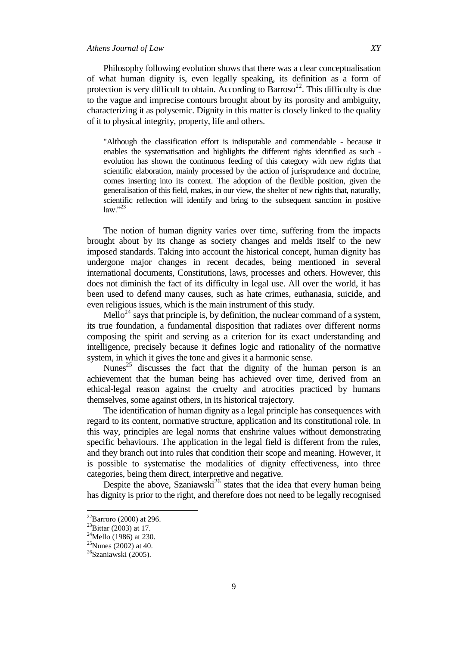# *Athens Journal of Law XY*

Philosophy following evolution shows that there was a clear conceptualisation of what human dignity is, even legally speaking, its definition as a form of protection is very difficult to obtain. According to Barroso<sup>22</sup>. This difficulty is due to the vague and imprecise contours brought about by its porosity and ambiguity, characterizing it as polysemic. Dignity in this matter is closely linked to the quality of it to physical integrity, property, life and others.

"Although the classification effort is indisputable and commendable - because it enables the systematisation and highlights the different rights identified as such evolution has shown the continuous feeding of this category with new rights that scientific elaboration, mainly processed by the action of jurisprudence and doctrine, comes inserting into its context. The adoption of the flexible position, given the generalisation of this field, makes, in our view, the shelter of new rights that, naturally, scientific reflection will identify and bring to the subsequent sanction in positive  $law.$ <sup>23</sup>

The notion of human dignity varies over time, suffering from the impacts brought about by its change as society changes and melds itself to the new imposed standards. Taking into account the historical concept, human dignity has undergone major changes in recent decades, being mentioned in several international documents, Constitutions, laws, processes and others. However, this does not diminish the fact of its difficulty in legal use. All over the world, it has been used to defend many causes, such as hate crimes, euthanasia, suicide, and even religious issues, which is the main instrument of this study.

Mello<sup>24</sup> says that principle is, by definition, the nuclear command of a system, its true foundation, a fundamental disposition that radiates over different norms composing the spirit and serving as a criterion for its exact understanding and intelligence, precisely because it defines logic and rationality of the normative system, in which it gives the tone and gives it a harmonic sense.

Nunes<sup>25</sup> discusses the fact that the dignity of the human person is an achievement that the human being has achieved over time, derived from an ethical-legal reason against the cruelty and atrocities practiced by humans themselves, some against others, in its historical trajectory.

The identification of human dignity as a legal principle has consequences with regard to its content, normative structure, application and its constitutional role. In this way, principles are legal norms that enshrine values without demonstrating specific behaviours. The application in the legal field is different from the rules, and they branch out into rules that condition their scope and meaning. However, it is possible to systematise the modalities of dignity effectiveness, into three categories, being them direct, interpretive and negative.

Despite the above, Szaniawski<sup>26</sup> states that the idea that every human being has dignity is prior to the right, and therefore does not need to be legally recognised

 $^{22}$ Barroro (2000) at 296.

 $^{23}$ Bittar (2003) at 17.

 $^{24}$ Mello (1986) at 230.

 $25$ Nunes (2002) at 40.

<sup>&</sup>lt;sup>26</sup>Szaniawski (2005).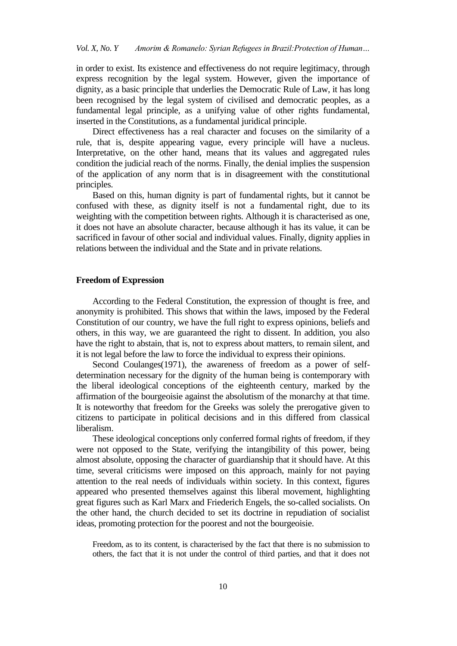in order to exist. Its existence and effectiveness do not require legitimacy, through express recognition by the legal system. However, given the importance of dignity, as a basic principle that underlies the Democratic Rule of Law, it has long been recognised by the legal system of civilised and democratic peoples, as a fundamental legal principle, as a unifying value of other rights fundamental, inserted in the Constitutions, as a fundamental juridical principle.

Direct effectiveness has a real character and focuses on the similarity of a rule, that is, despite appearing vague, every principle will have a nucleus. Interpretative, on the other hand, means that its values and aggregated rules condition the judicial reach of the norms. Finally, the denial implies the suspension of the application of any norm that is in disagreement with the constitutional principles.

Based on this, human dignity is part of fundamental rights, but it cannot be confused with these, as dignity itself is not a fundamental right, due to its weighting with the competition between rights. Although it is characterised as one, it does not have an absolute character, because although it has its value, it can be sacrificed in favour of other social and individual values. Finally, dignity applies in relations between the individual and the State and in private relations.

#### **Freedom of Expression**

According to the Federal Constitution, the expression of thought is free, and anonymity is prohibited. This shows that within the laws, imposed by the Federal Constitution of our country, we have the full right to express opinions, beliefs and others, in this way, we are guaranteed the right to dissent. In addition, you also have the right to abstain, that is, not to express about matters, to remain silent, and it is not legal before the law to force the individual to express their opinions.

Second Coulanges(1971), the awareness of freedom as a power of selfdetermination necessary for the dignity of the human being is contemporary with the liberal ideological conceptions of the eighteenth century, marked by the affirmation of the bourgeoisie against the absolutism of the monarchy at that time. It is noteworthy that freedom for the Greeks was solely the prerogative given to citizens to participate in political decisions and in this differed from classical liberalism.

These ideological conceptions only conferred formal rights of freedom, if they were not opposed to the State, verifying the intangibility of this power, being almost absolute, opposing the character of guardianship that it should have. At this time, several criticisms were imposed on this approach, mainly for not paying attention to the real needs of individuals within society. In this context, figures appeared who presented themselves against this liberal movement, highlighting great figures such as Karl Marx and Friederich Engels, the so-called socialists. On the other hand, the church decided to set its doctrine in repudiation of socialist ideas, promoting protection for the poorest and not the bourgeoisie.

Freedom, as to its content, is characterised by the fact that there is no submission to others, the fact that it is not under the control of third parties, and that it does not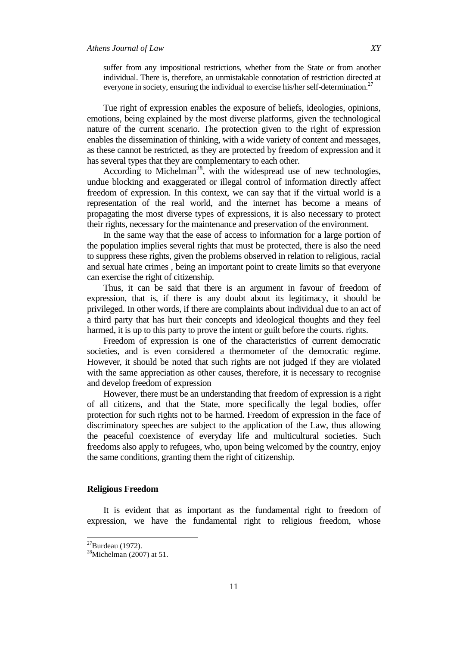suffer from any impositional restrictions, whether from the State or from another individual. There is, therefore, an unmistakable connotation of restriction directed at everyone in society, ensuring the individual to exercise his/her self-determination.<sup>27</sup>

Tue right of expression enables the exposure of beliefs, ideologies, opinions, emotions, being explained by the most diverse platforms, given the technological nature of the current scenario. The protection given to the right of expression enables the dissemination of thinking, with a wide variety of content and messages, as these cannot be restricted, as they are protected by freedom of expression and it has several types that they are complementary to each other.

According to Michelman<sup>28</sup>, with the widespread use of new technologies, undue blocking and exaggerated or illegal control of information directly affect freedom of expression. In this context, we can say that if the virtual world is a representation of the real world, and the internet has become a means of propagating the most diverse types of expressions, it is also necessary to protect their rights, necessary for the maintenance and preservation of the environment.

In the same way that the ease of access to information for a large portion of the population implies several rights that must be protected, there is also the need to suppress these rights, given the problems observed in relation to religious, racial and sexual hate crimes , being an important point to create limits so that everyone can exercise the right of citizenship.

Thus, it can be said that there is an argument in favour of freedom of expression, that is, if there is any doubt about its legitimacy, it should be privileged. In other words, if there are complaints about individual due to an act of a third party that has hurt their concepts and ideological thoughts and they feel harmed, it is up to this party to prove the intent or guilt before the courts. rights.

Freedom of expression is one of the characteristics of current democratic societies, and is even considered a thermometer of the democratic regime. However, it should be noted that such rights are not judged if they are violated with the same appreciation as other causes, therefore, it is necessary to recognise and develop freedom of expression

However, there must be an understanding that freedom of expression is a right of all citizens, and that the State, more specifically the legal bodies, offer protection for such rights not to be harmed. Freedom of expression in the face of discriminatory speeches are subject to the application of the Law, thus allowing the peaceful coexistence of everyday life and multicultural societies. Such freedoms also apply to refugees, who, upon being welcomed by the country, enjoy the same conditions, granting them the right of citizenship.

#### **Religious Freedom**

It is evident that as important as the fundamental right to freedom of expression, we have the fundamental right to religious freedom, whose

 $\overline{\phantom{a}}$ 

 $^{27}$ Burdeau (1972).

 $28$ Michelman (2007) at 51.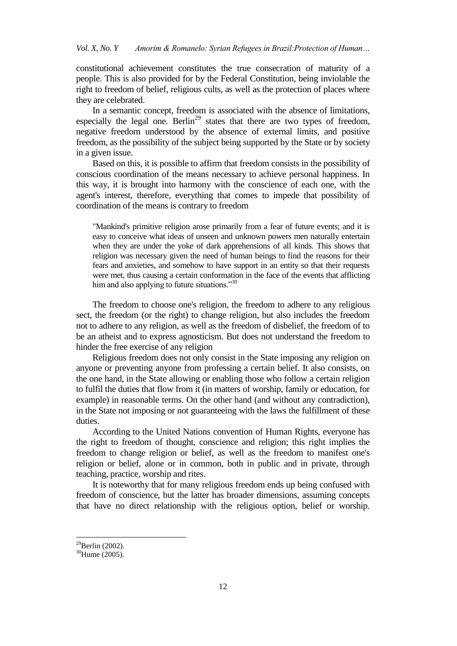constitutional achievement constitutes the true consecration of maturity of a people. This is also provided for by the Federal Constitution, being inviolable the right to freedom of belief, religious cults, as well as the protection of places where they are celebrated.

In a semantic concept, freedom is associated with the absence of limitations, especially the legal one. Berlin<sup>29</sup> states that there are two types of freedom, negative freedom understood by the absence of external limits, and positive freedom, as the possibility of the subject being supported by the State or by society in a given issue.

Based on this, it is possible to affirm that freedom consists in the possibility of conscious coordination of the means necessary to achieve personal happiness. In this way, it is brought into harmony with the conscience of each one, with the agent's interest, therefore, everything that comes to impede that possibility of coordination of the means is contrary to freedom

"Mankind's primitive religion arose primarily from a fear of future events; and it is easy to conceive what ideas of unseen and unknown powers men naturally entertain when they are under the yoke of dark apprehensions of all kinds. This shows that religion was necessary given the need of human beings to find the reasons for their fears and anxieties, and somehow to have support in an entity so that their requests were met, thus causing a certain conformation in the face of the events that afflicting him and also applying to future situations."30

The freedom to choose one's religion, the freedom to adhere to any religious sect, the freedom (or the right) to change religion, but also includes the freedom not to adhere to any religion, as well as the freedom of disbelief, the freedom of to be an atheist and to express agnosticism. But does not understand the freedom to hinder the free exercise of any religion

Religious freedom does not only consist in the State imposing any religion on anyone or preventing anyone from professing a certain belief. It also consists, on the one hand, in the State allowing or enabling those who follow a certain religion to fulfil the duties that flow from it (in matters of worship, family or education, for example) in reasonable terms. On the other hand (and without any contradiction), in the State not imposing or not guaranteeing with the laws the fulfillment of these duties.

According to the United Nations convention of Human Rights, everyone has the right to freedom of thought, conscience and religion; this right implies the freedom to change religion or belief, as well as the freedom to manifest one's religion or belief, alone or in common, both in public and in private, through teaching, practice, worship and rites.

It is noteworthy that for many religious freedom ends up being confused with freedom of conscience, but the latter has broader dimensions, assuming concepts that have no direct relationship with the religious option, belief or worship.

 $^{29}$ Berlin (2002).

<sup>30</sup>Hume (2005).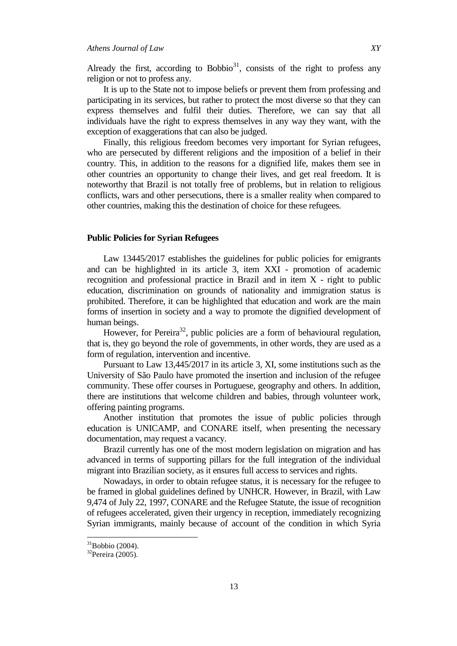Already the first, according to Bobbio $31$ , consists of the right to profess any religion or not to profess any.

It is up to the State not to impose beliefs or prevent them from professing and participating in its services, but rather to protect the most diverse so that they can express themselves and fulfil their duties. Therefore, we can say that all individuals have the right to express themselves in any way they want, with the exception of exaggerations that can also be judged.

Finally, this religious freedom becomes very important for Syrian refugees, who are persecuted by different religions and the imposition of a belief in their country. This, in addition to the reasons for a dignified life, makes them see in other countries an opportunity to change their lives, and get real freedom. It is noteworthy that Brazil is not totally free of problems, but in relation to religious conflicts, wars and other persecutions, there is a smaller reality when compared to other countries, making this the destination of choice for these refugees.

#### **Public Policies for Syrian Refugees**

Law 13445/2017 establishes the guidelines for public policies for emigrants and can be highlighted in its article 3, item XXI - promotion of academic recognition and professional practice in Brazil and in item X - right to public education, discrimination on grounds of nationality and immigration status is prohibited. Therefore, it can be highlighted that education and work are the main forms of insertion in society and a way to promote the dignified development of human beings.

However, for Pereira<sup>32</sup>, public policies are a form of behavioural regulation, that is, they go beyond the role of governments, in other words, they are used as a form of regulation, intervention and incentive.

Pursuant to Law 13,445/2017 in its article 3, XI, some institutions such as the University of São Paulo have promoted the insertion and inclusion of the refugee community. These offer courses in Portuguese, geography and others. In addition, there are institutions that welcome children and babies, through volunteer work, offering painting programs.

Another institution that promotes the issue of public policies through education is UNICAMP, and CONARE itself, when presenting the necessary documentation, may request a vacancy.

Brazil currently has one of the most modern legislation on migration and has advanced in terms of supporting pillars for the full integration of the individual migrant into Brazilian society, as it ensures full access to services and rights.

Nowadays, in order to obtain refugee status, it is necessary for the refugee to be framed in global guidelines defined by UNHCR. However, in Brazil, with Law 9,474 of July 22, 1997, CONARE and the Refugee Statute, the issue of recognition of refugees accelerated, given their urgency in reception, immediately recognizing Syrian immigrants, mainly because of account of the condition in which Syria

 $\overline{\phantom{a}}$ 

 $31$ Bobbio (2004).

<sup>32</sup>Pereira (2005).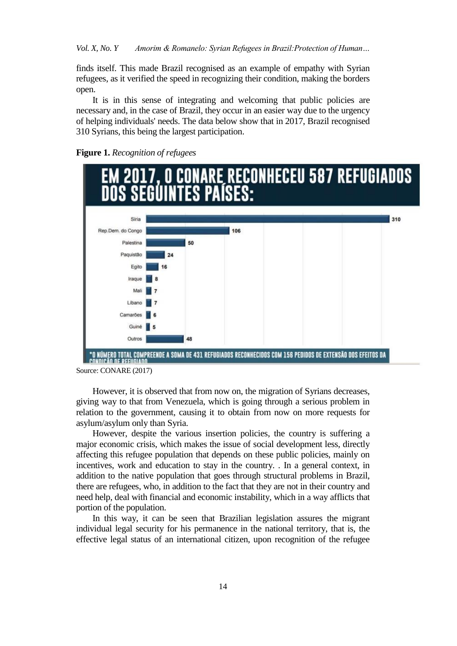finds itself. This made Brazil recognised as an example of empathy with Syrian refugees, as it verified the speed in recognizing their condition, making the borders open.

It is in this sense of integrating and welcoming that public policies are necessary and, in the case of Brazil, they occur in an easier way due to the urgency of helping individuals' needs. The data below show that in 2017, Brazil recognised 310 Syrians, this being the largest participation.





Source: CONARE (2017)

However, it is observed that from now on, the migration of Syrians decreases, giving way to that from Venezuela, which is going through a serious problem in relation to the government, causing it to obtain from now on more requests for asylum/asylum only than Syria.

However, despite the various insertion policies, the country is suffering a major economic crisis, which makes the issue of social development less, directly affecting this refugee population that depends on these public policies, mainly on incentives, work and education to stay in the country. . In a general context, in addition to the native population that goes through structural problems in Brazil, there are refugees, who, in addition to the fact that they are not in their country and need help, deal with financial and economic instability, which in a way afflicts that portion of the population.

In this way, it can be seen that Brazilian legislation assures the migrant individual legal security for his permanence in the national territory, that is, the effective legal status of an international citizen, upon recognition of the refugee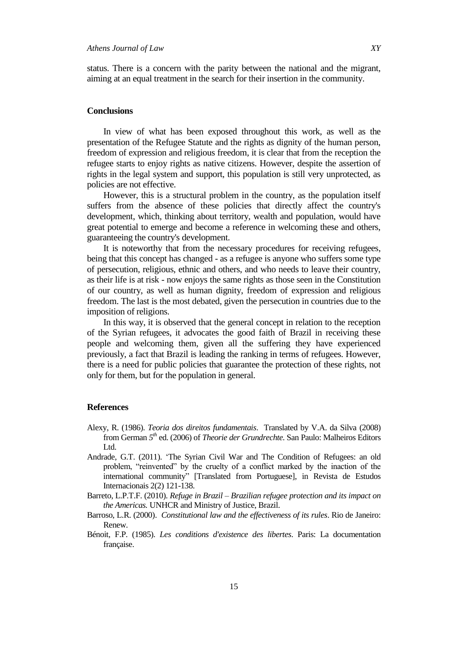status. There is a concern with the parity between the national and the migrant, aiming at an equal treatment in the search for their insertion in the community.

# **Conclusions**

In view of what has been exposed throughout this work, as well as the presentation of the Refugee Statute and the rights as dignity of the human person, freedom of expression and religious freedom, it is clear that from the reception the refugee starts to enjoy rights as native citizens. However, despite the assertion of rights in the legal system and support, this population is still very unprotected, as policies are not effective.

However, this is a structural problem in the country, as the population itself suffers from the absence of these policies that directly affect the country's development, which, thinking about territory, wealth and population, would have great potential to emerge and become a reference in welcoming these and others, guaranteeing the country's development.

It is noteworthy that from the necessary procedures for receiving refugees, being that this concept has changed - as a refugee is anyone who suffers some type of persecution, religious, ethnic and others, and who needs to leave their country, as their life is at risk - now enjoys the same rights as those seen in the Constitution of our country, as well as human dignity, freedom of expression and religious freedom. The last is the most debated, given the persecution in countries due to the imposition of religions.

In this way, it is observed that the general concept in relation to the reception of the Syrian refugees, it advocates the good faith of Brazil in receiving these people and welcoming them, given all the suffering they have experienced previously, a fact that Brazil is leading the ranking in terms of refugees. However, there is a need for public policies that guarantee the protection of these rights, not only for them, but for the population in general.

# **References**

- Alexy, R. (1986). *Teoria dos direitos fundamentais*. Translated by V.A. da Silva (2008) from German *5 th* ed. (2006) of *Theorie der Grundrechte.* San Paulo: Malheiros Editors Ltd.
- Andrade, G.T. (2011). "The Syrian Civil War and The Condition of Refugees: an old problem, "reinvented" by the cruelty of a conflict marked by the inaction of the international community" [Translated from Portuguese], in Revista de Estudos Internacionais 2(2) 121-138.
- Barreto, L.P.T.F. (2010). *Refuge in Brazil – Brazilian refugee protection and its impact on the Americas.* UNHCR and Ministry of Justice, Brazil.
- Barroso, L.R. (2000). *Constitutional law and the effectiveness of its rules*. Rio de Janeiro: Renew.
- Bénoit, F.P. (1985). *Les conditions d'existence des libertes*. Paris: La documentation française.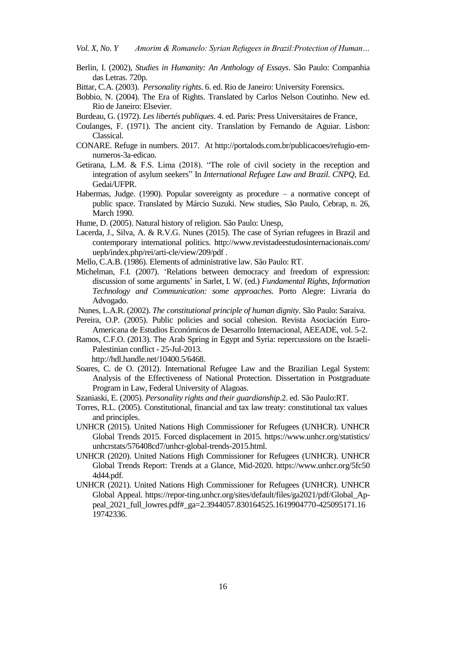*Vol. X, No. Y Amorim & Romanelo: Syrian Refugees in Brazil:Protection of Human…*

- Berlin, I. (2002), *Studies in Humanity: An Anthology of Essays*. São Paulo: Companhia das Letras. 720p.
- Bittar, C.A. (2003). *Personality rights*. 6. ed. Rio de Janeiro: University Forensics.
- Bobbio, N. (2004). The Era of Rights. Translated by Carlos Nelson Coutinho. New ed. Rio de Janeiro: Elsevier.
- Burdeau, G. (1972). *Les libertés publiques*. 4. ed. Paris: Press Universitaires de France,
- Coulanges, F. (1971). The ancient city. Translation by Fernando de Aguiar. Lisbon: Classical.
- CONARE. Refuge in numbers. 2017. At http://portalods.com.br/publicacoes/refugio-emnumeros-3a-edicao.
- Getirana, L.M. & F.S. Lima (2018). "The role of civil society in the reception and integration of asylum seekers" In *International Refugee Law and Brazil. CNPQ*, Ed. Gedai/UFPR.
- Habermas, Judge. (1990). Popular sovereignty as procedure  $-$  a normative concept of public space. Translated by Márcio Suzuki. New studies, São Paulo, Cebrap, n. 26, March 1990.
- Hume, D. (2005). Natural history of religion. São Paulo: Unesp,
- Lacerda, J., Silva, A. & R.V.G. Nunes (2015). The case of Syrian refugees in Brazil and contemporary international politics. http://www.revistadeestudosinternacionais.com/ uepb/index.php/rei/arti-cle/view/209/pdf .
- Mello, C.A.B. (1986). Elements of administrative law. São Paulo: RT.
- Michelman, F.I. (2007). "Relations between democracy and freedom of expression: discussion of some arguments" in Sarlet, I. W. (ed.) *Fundamental Rights, Information Technology and Communication: some approaches*. Porto Alegre: Livraria do Advogado.
- Nunes, L.A.R. (2002). *The constitutional principle of human dignity*. São Paulo: Saraiva.
- Pereira, O.P. (2005). Public policies and social cohesion. Revista Asociación Euro-Americana de Estudios Económicos de Desarrollo Internacional, AEEADE, vol. 5-2.
- Ramos, C.F.O. (2013). The Arab Spring in Egypt and Syria: repercussions on the Israeli-Palestinian conflict - 25-Jul-2013.

http://hdl.handle.net/10400.5/6468.

Soares, C. de O. (2012). International Refugee Law and the Brazilian Legal System: Analysis of the Effectiveness of National Protection. Dissertation in Postgraduate Program in Law, Federal University of Alagoas.

Szaniaski, E. (2005). *Personality rights and their guardianship*.2. ed. São Paulo:RT.

- Torres, R.L. (2005). Constitutional, financial and tax law treaty: constitutional tax values and principles.
- UNHCR (2015). United Nations High Commissioner for Refugees (UNHCR). UNHCR Global Trends 2015. Forced displacement in 2015. https://www.unhcr.org/statistics/ unhcrstats/576408cd7/unhcr-global-trends-2015.html.
- UNHCR (2020). United Nations High Commissioner for Refugees (UNHCR). UNHCR Global Trends Report: Trends at a Glance, Mid-2020. https://www.unhcr.org/5fc50 4d44.pdf.
- UNHCR (2021). United Nations High Commissioner for Refugees (UNHCR). UNHCR Global Appeal. https://repor-ting.unhcr.org/sites/default/files/ga2021/pdf/Global\_Appeal\_2021\_full\_lowres.pdf#\_ga=2.3944057.830164525.1619904770-425095171.16 19742336.